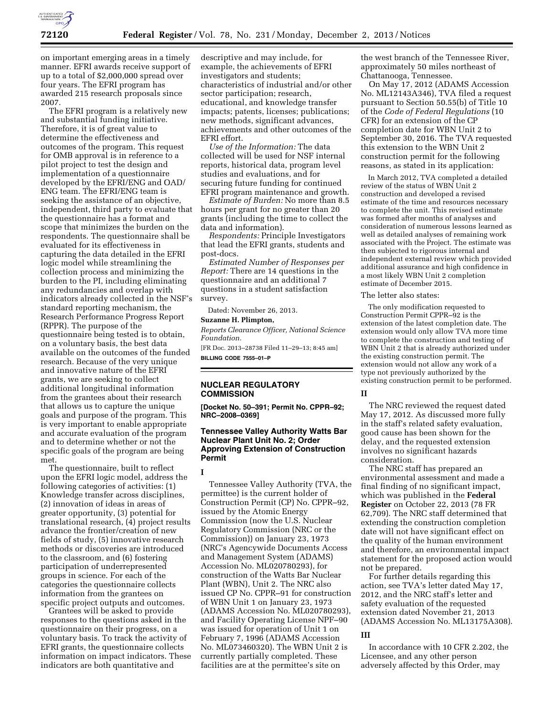

on important emerging areas in a timely manner. EFRI awards receive support of up to a total of \$2,000,000 spread over four years. The EFRI program has awarded 215 research proposals since 2007.

The EFRI program is a relatively new and substantial funding initiative. Therefore, it is of great value to determine the effectiveness and outcomes of the program. This request for OMB approval is in reference to a pilot project to test the design and implementation of a questionnaire developed by the EFRI/ENG and OAD/ ENG team. The EFRI/ENG team is seeking the assistance of an objective, independent, third party to evaluate that the questionnaire has a format and scope that minimizes the burden on the respondents. The questionnaire shall be evaluated for its effectiveness in capturing the data detailed in the EFRI logic model while streamlining the collection process and minimizing the burden to the PI, including eliminating any redundancies and overlap with indicators already collected in the NSF's standard reporting mechanism, the Research Performance Progress Report (RPPR). The purpose of the questionnaire being tested is to obtain, on a voluntary basis, the best data available on the outcomes of the funded research. Because of the very unique and innovative nature of the EFRI grants, we are seeking to collect additional longitudinal information from the grantees about their research that allows us to capture the unique goals and purpose of the program. This is very important to enable appropriate and accurate evaluation of the program and to determine whether or not the specific goals of the program are being met.

The questionnaire, built to reflect upon the EFRI logic model, address the following categories of activities: (1) Knowledge transfer across disciplines, (2) innovation of ideas in areas of greater opportunity, (3) potential for translational research, (4) project results advance the frontier/creation of new fields of study, (5) innovative research methods or discoveries are introduced to the classroom, and (6) fostering participation of underrepresented groups in science. For each of the categories the questionnaire collects information from the grantees on specific project outputs and outcomes.

Grantees will be asked to provide responses to the questions asked in the questionnaire on their progress, on a voluntary basis. To track the activity of EFRI grants, the questionnaire collects information on impact indicators. These indicators are both quantitative and

descriptive and may include, for example, the achievements of EFRI investigators and students; characteristics of industrial and/or other sector participation; research, educational, and knowledge transfer impacts; patents, licenses; publications; new methods, significant advances, achievements and other outcomes of the EFRI effort.

*Use of the Information:* The data collected will be used for NSF internal reports, historical data, program level studies and evaluations, and for securing future funding for continued EFRI program maintenance and growth.

*Estimate of Burden:* No more than 8.5 hours per grant for no greater than 20 grants (including the time to collect the data and information).

*Respondents:* Principle Investigators that lead the EFRI grants, students and post-docs.

*Estimated Number of Responses per Report:* There are 14 questions in the questionnaire and an additional 7 questions in a student satisfaction survey.

Dated: November 26, 2013.

# **Suzanne H. Plimpton,**

*Reports Clearance Officer, National Science Foundation.* 

[FR Doc. 2013–28738 Filed 11–29–13; 8:45 am] **BILLING CODE 7555–01–P** 

# **NUCLEAR REGULATORY COMMISSION**

**[Docket No. 50–391; Permit No. CPPR–92; NRC–2008–0369]** 

# **Tennessee Valley Authority Watts Bar Nuclear Plant Unit No. 2; Order Approving Extension of Construction Permit**

**I** 

Tennessee Valley Authority (TVA, the permittee) is the current holder of Construction Permit (CP) No. CPPR–92, issued by the Atomic Energy Commission (now the U.S. Nuclear Regulatory Commission (NRC or the Commission)) on January 23, 1973 (NRC's Agencywide Documents Access and Management System (ADAMS) Accession No. ML020780293), for construction of the Watts Bar Nuclear Plant (WBN), Unit 2. The NRC also issued CP No. CPPR–91 for construction of WBN Unit 1 on January 23, 1973 (ADAMS Accession No. ML020780293), and Facility Operating License NPF–90 was issued for operation of Unit 1 on February 7, 1996 (ADAMS Accession No. ML073460320). The WBN Unit 2 is currently partially completed. These facilities are at the permittee's site on

the west branch of the Tennessee River, approximately 50 miles northeast of Chattanooga, Tennessee.

On May 17, 2012 (ADAMS Accession No. ML12143A346), TVA filed a request pursuant to Section 50.55(b) of Title 10 of the *Code of Federal Regulations* (10 CFR) for an extension of the CP completion date for WBN Unit 2 to September 30, 2016. The TVA requested this extension to the WBN Unit 2 construction permit for the following reasons, as stated in its application:

In March 2012, TVA completed a detailed review of the status of WBN Unit 2 construction and developed a revised estimate of the time and resources necessary to complete the unit. This revised estimate was formed after months of analyses and consideration of numerous lessons learned as well as detailed analyses of remaining work associated with the Project. The estimate was then subjected to rigorous internal and independent external review which provided additional assurance and high confidence in a most likely WBN Unit 2 completion estimate of December 2015.

The letter also states:

The only modification requested to Construction Permit CPPR–92 is the extension of the latest completion date. The extension would only allow TVA more time to complete the construction and testing of WBN Unit 2 that is already authorized under the existing construction permit. The extension would not allow any work of a type not previously authorized by the existing construction permit to be performed.

#### **II**

The NRC reviewed the request dated May 17, 2012. As discussed more fully in the staff's related safety evaluation, good cause has been shown for the delay, and the requested extension involves no significant hazards consideration.

The NRC staff has prepared an environmental assessment and made a final finding of no significant impact, which was published in the **Federal Register** on October 22, 2013 (78 FR 62,709). The NRC staff determined that extending the construction completion date will not have significant effect on the quality of the human environment and therefore, an environmental impact statement for the proposed action would not be prepared.

For further details regarding this action, see TVA's letter dated May 17, 2012, and the NRC staff's letter and safety evaluation of the requested extension dated November 21, 2013 (ADAMS Accession No. ML13175A308).

### **III**

In accordance with 10 CFR 2.202, the Licensee, and any other person adversely affected by this Order, may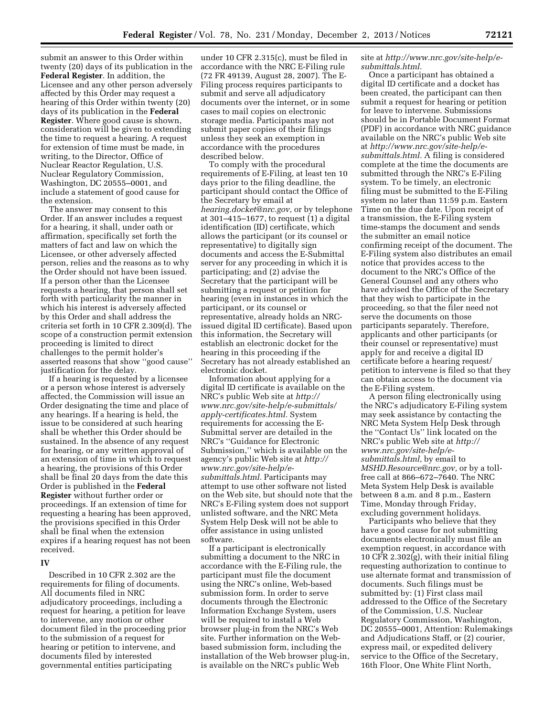submit an answer to this Order within twenty (20) days of its publication in the **Federal Register**. In addition, the Licensee and any other person adversely affected by this Order may request a hearing of this Order within twenty (20) days of its publication in the **Federal Register**. Where good cause is shown, consideration will be given to extending the time to request a hearing. A request for extension of time must be made, in writing, to the Director, Office of Nuclear Reactor Regulation, U.S. Nuclear Regulatory Commission, Washington, DC 20555–0001, and include a statement of good cause for the extension.

The answer may consent to this Order. If an answer includes a request for a hearing, it shall, under oath or affirmation, specifically set forth the matters of fact and law on which the Licensee, or other adversely affected person, relies and the reasons as to why the Order should not have been issued. If a person other than the Licensee requests a hearing, that person shall set forth with particularity the manner in which his interest is adversely affected by this Order and shall address the criteria set forth in 10 CFR 2.309(d). The scope of a construction permit extension proceeding is limited to direct challenges to the permit holder's asserted reasons that show ''good cause'' justification for the delay.

If a hearing is requested by a licensee or a person whose interest is adversely affected, the Commission will issue an Order designating the time and place of any hearings. If a hearing is held, the issue to be considered at such hearing shall be whether this Order should be sustained. In the absence of any request for hearing, or any written approval of an extension of time in which to request a hearing, the provisions of this Order shall be final 20 days from the date this Order is published in the **Federal Register** without further order or proceedings. If an extension of time for requesting a hearing has been approved, the provisions specified in this Order shall be final when the extension expires if a hearing request has not been received.

### **IV**

Described in 10 CFR 2.302 are the requirements for filing of documents. All documents filed in NRC adjudicatory proceedings, including a request for hearing, a petition for leave to intervene, any motion or other document filed in the proceeding prior to the submission of a request for hearing or petition to intervene, and documents filed by interested governmental entities participating

under 10 CFR 2.315(c), must be filed in accordance with the NRC E-Filing rule (72 FR 49139, August 28, 2007). The E-Filing process requires participants to submit and serve all adjudicatory documents over the internet, or in some cases to mail copies on electronic storage media. Participants may not submit paper copies of their filings unless they seek an exemption in accordance with the procedures described below.

To comply with the procedural requirements of E-Filing, at least ten 10 days prior to the filing deadline, the participant should contact the Office of the Secretary by email at *[hearing.docket@nrc.gov,](mailto:hearing.docket@nrc.gov)* or by telephone at 301–415–1677, to request (1) a digital identification (ID) certificate, which allows the participant (or its counsel or representative) to digitally sign documents and access the E-Submittal server for any proceeding in which it is participating; and (2) advise the Secretary that the participant will be submitting a request or petition for hearing (even in instances in which the participant, or its counsel or representative, already holds an NRCissued digital ID certificate). Based upon this information, the Secretary will establish an electronic docket for the hearing in this proceeding if the Secretary has not already established an electronic docket.

Information about applying for a digital ID certificate is available on the NRC's public Web site at *[http://](http://www.nrc.gov/site-help/e-submittals/apply-certificates.html) [www.nrc.gov/site-help/e-submittals/](http://www.nrc.gov/site-help/e-submittals/apply-certificates.html)  [apply-certificates.html.](http://www.nrc.gov/site-help/e-submittals/apply-certificates.html)* System requirements for accessing the E-Submittal server are detailed in the NRC's ''Guidance for Electronic Submission,'' which is available on the agency's public Web site at *[http://](http://www.nrc.gov/site-help/e-submittals.html)  [www.nrc.gov/site-help/e](http://www.nrc.gov/site-help/e-submittals.html)[submittals.html.](http://www.nrc.gov/site-help/e-submittals.html)* Participants may attempt to use other software not listed on the Web site, but should note that the NRC's E-Filing system does not support unlisted software, and the NRC Meta System Help Desk will not be able to offer assistance in using unlisted software.

If a participant is electronically submitting a document to the NRC in accordance with the E-Filing rule, the participant must file the document using the NRC's online, Web-based submission form. In order to serve documents through the Electronic Information Exchange System, users will be required to install a Web browser plug-in from the NRC's Web site. Further information on the Webbased submission form, including the installation of the Web browser plug-in, is available on the NRC's public Web

site at *[http://www.nrc.gov/site-help/e](http://www.nrc.gov/site-help/e-submittals.html)[submittals.html.](http://www.nrc.gov/site-help/e-submittals.html)* 

Once a participant has obtained a digital ID certificate and a docket has been created, the participant can then submit a request for hearing or petition for leave to intervene. Submissions should be in Portable Document Format (PDF) in accordance with NRC guidance available on the NRC's public Web site at *[http://www.nrc.gov/site-help/e](http://www.nrc.gov/site-help/e-submittals.html)[submittals.html.](http://www.nrc.gov/site-help/e-submittals.html)* A filing is considered complete at the time the documents are submitted through the NRC's E-Filing system. To be timely, an electronic filing must be submitted to the E-Filing system no later than 11:59 p.m. Eastern Time on the due date. Upon receipt of a transmission, the E-Filing system time-stamps the document and sends the submitter an email notice confirming receipt of the document. The E-Filing system also distributes an email notice that provides access to the document to the NRC's Office of the General Counsel and any others who have advised the Office of the Secretary that they wish to participate in the proceeding, so that the filer need not serve the documents on those participants separately. Therefore, applicants and other participants (or their counsel or representative) must apply for and receive a digital ID certificate before a hearing request/ petition to intervene is filed so that they can obtain access to the document via the E-Filing system.

A person filing electronically using the NRC's adjudicatory E-Filing system may seek assistance by contacting the NRC Meta System Help Desk through the ''Contact Us'' link located on the NRC's public Web site at *[http://](http://www.nrc.gov/site-help/e-submittals.html) [www.nrc.gov/site-help/e](http://www.nrc.gov/site-help/e-submittals.html)[submittals.html,](http://www.nrc.gov/site-help/e-submittals.html)* by email to *[MSHD.Resource@nrc.gov,](mailto:MSHD.Resource@nrc.gov)* or by a tollfree call at 866–672–7640. The NRC Meta System Help Desk is available between 8 a.m. and 8 p.m., Eastern Time, Monday through Friday, excluding government holidays.

Participants who believe that they have a good cause for not submitting documents electronically must file an exemption request, in accordance with 10 CFR 2.302(g), with their initial filing requesting authorization to continue to use alternate format and transmission of documents. Such filings must be submitted by: (1) First class mail addressed to the Office of the Secretary of the Commission, U.S. Nuclear Regulatory Commission, Washington, DC 20555–0001, Attention: Rulemakings and Adjudications Staff, or (2) courier, express mail, or expedited delivery service to the Office of the Secretary, 16th Floor, One White Flint North,